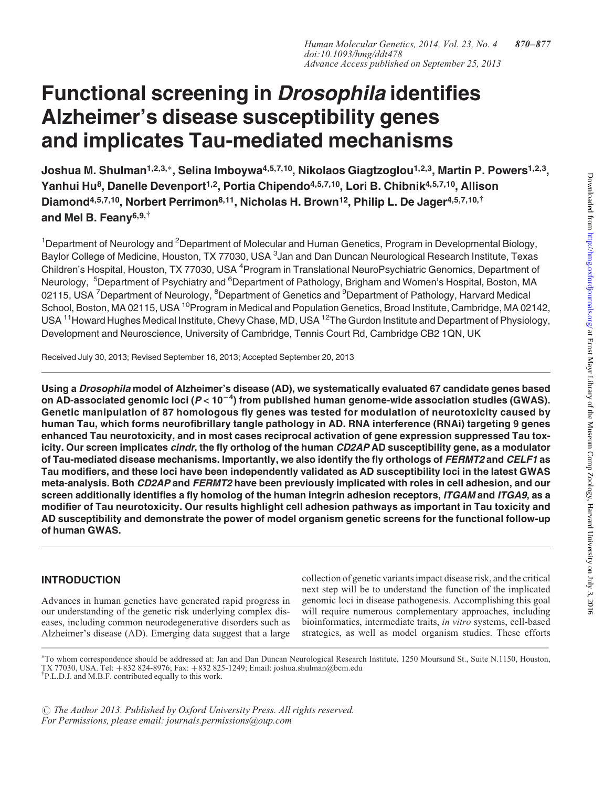# Functional screening in Drosophila identifies Alzheimer's disease susceptibility genes and implicates Tau-mediated mechanisms

Joshua M. Shulman<sup>1,2,3,∗</sup>, Selina Imboywa<sup>4,5,7,10</sup>, Nikolaos Giagtzoglou<sup>1,2,3</sup>, Martin P. Powers<sup>1,2,3</sup>, Yanhui Hu<sup>8</sup>, Danelle Devenport<sup>1,2</sup>, Portia Chipendo<sup>4,5,7,10</sup>, Lori B. Chibnik<sup>4,5,7,10</sup>, Allison Diamond<sup>4,5,7,10</sup>, Norbert Perrimon<sup>8,11</sup>, Nicholas H. Brown<sup>12</sup>, Philip L. De Jager<sup>4,5,7,10,<sup>†</sup></sup> and Mel B. Feanv<sup>6,9, $\dagger$ </sup>

<sup>1</sup>Department of Neurology and <sup>2</sup>Department of Molecular and Human Genetics, Program in Developmental Biology, Baylor College of Medicine, Houston, TX 77030, USA <sup>3</sup>Jan and Dan Duncan Neurological Research Institute, Texas Children's Hospital, Houston, TX 77030, USA <sup>4</sup>Program in Translational NeuroPsychiatric Genomics, Department of Neurology, <sup>5</sup>Department of Psychiatry and <sup>6</sup>Department of Pathology, Brigham and Women's Hospital, Boston, MA 02115, USA <sup>7</sup>Department of Neurology, <sup>8</sup>Department of Genetics and <sup>9</sup>Department of Pathology, Harvard Medical School, Boston, MA 02115, USA <sup>10</sup>Program in Medical and Population Genetics, Broad Institute, Cambridge, MA 02142, USA <sup>11</sup> Howard Hughes Medical Institute, Chevy Chase, MD, USA <sup>12</sup> The Gurdon Institute and Department of Physiology, Development and Neuroscience, University of Cambridge, Tennis Court Rd, Cambridge CB2 1QN, UK

Received July 30, 2013; Revised September 16, 2013; Accepted September 20, 2013

Using a Drosophila model of Alzheimer's disease (AD), we systematically evaluated 67 candidate genes based on AD-associated genomic loci ( $P < 10^{-4}$ ) from published human genome-wide association studies (GWAS). Genetic manipulation of 87 homologous fly genes was tested for modulation of neurotoxicity caused by human Tau, which forms neurofibrillary tangle pathology in AD. RNA interference (RNAi) targeting 9 genes enhanced Tau neurotoxicity, and in most cases reciprocal activation of gene expression suppressed Tau toxicity. Our screen implicates *cindr*, the fly ortholog of the human CD2AP AD susceptibility gene, as a modulator of Tau-mediated disease mechanisms. Importantly, we also identify the fly orthologs of FERMT2 and CELF1 as Tau modifiers, and these loci have been independently validated as AD susceptibility loci in the latest GWAS meta-analysis. Both CD2AP and FERMT2 have been previously implicated with roles in cell adhesion, and our screen additionally identifies a fly homolog of the human integrin adhesion receptors, ITGAM and ITGA9, as a modifier of Tau neurotoxicity. Our results highlight cell adhesion pathways as important in Tau toxicity and AD susceptibility and demonstrate the power of model organism genetic screens for the functional follow-up of human GWAS.

## INTRODUCTION

Advances in human genetics have generated rapid progress in our understanding of the genetic risk underlying complex diseases, including common neurodegenerative disorders such as Alzheimer's disease (AD). Emerging data suggest that a large collection of genetic variants impact disease risk, and the critical next step will be to understand the function of the implicated genomic loci in disease pathogenesis. Accomplishing this goal will require numerous complementary approaches, including bioinformatics, intermediate traits, in vitro systems, cell-based strategies, as well as model organism studies. These efforts

∗ To whom correspondence should be addressed at: Jan and Dan Duncan Neurological Research Institute, 1250 Moursund St., Suite N.1150, Houston, TX 77030, USA. Tel: <sup>+</sup>832 824-8976; Fax: <sup>+</sup>832 825-1249; Email: joshua.shulman@bcm.edu † P.L.D.J. and M.B.F. contributed equally to this work.

 $\odot$  The Author 2013. Published by Oxford University Press. All rights reserved. For Permissions, please email: journals.permissions@oup.com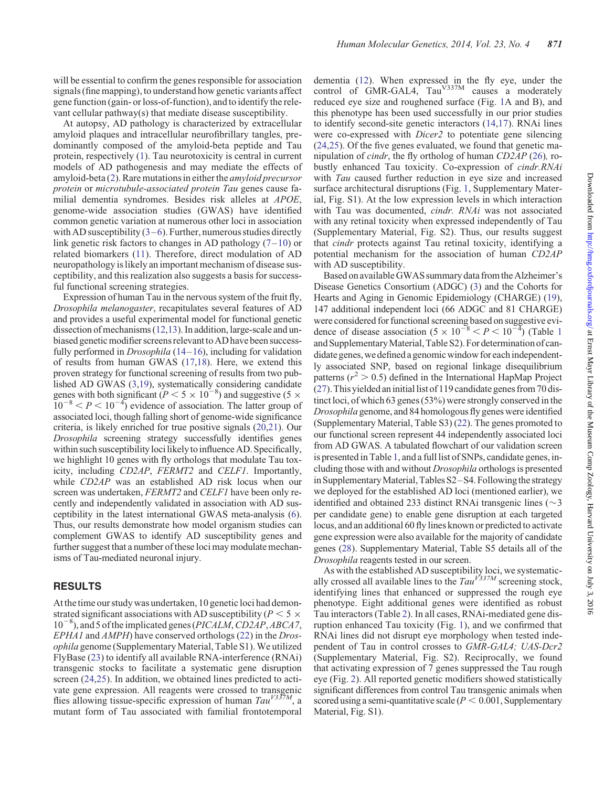will be essential to confirm the genes responsible for association signals (fine mapping), to understand how genetic variants affect gene function (gain- or loss-of-function), and to identify the relevant cellular pathway(s) that mediate disease susceptibility.

At autopsy, AD pathology is characterized by extracellular amyloid plaques and intracellular neurofibrillary tangles, predominantly composed of the amyloid-beta peptide and Tau protein, respectively ([1\)](#page-6-0). Tau neurotoxicity is central in current models of AD pathogenesis and may mediate the effects of amyloid-beta ([2\)](#page-6-0). Rare mutations in either the amyloid precursor protein or microtubule-associated protein Tau genes cause familial dementia syndromes. Besides risk alleles at APOE, genome-wide association studies (GWAS) have identified common genetic variation at numerous other loci in association with AD susceptibility  $(3-6)$  $(3-6)$  $(3-6)$  $(3-6)$ . Further, numerous studies directly link genetic risk factors to changes in AD pathology  $(7-10)$  $(7-10)$  $(7-10)$  $(7-10)$  or related biomarkers ([11\)](#page-6-0). Therefore, direct modulation of AD neuropathology is likely an important mechanism of disease susceptibility, and this realization also suggests a basis for successful functional screening strategies.

Expression of human Tau in the nervous system of the fruit fly, Drosophila melanogaster, recapitulates several features of AD and provides a useful experimental model for functional genetic dissection of mechanisms ([12,13\)](#page-6-0). In addition, large-scale and unbiased genetic modifier screens relevant to AD have been successfully performed in *Drosophila*  $(14-16)$  $(14-16)$  $(14-16)$  $(14-16)$  $(14-16)$ , including for validation of results from human GWAS ([17](#page-6-0),[18\)](#page-6-0). Here, we extend this proven strategy for functional screening of results from two published AD GWAS ([3,19\)](#page-6-0), systematically considering candidate genes with both significant ( $P < 5 \times 10^{-8}$ ) and suggestive (5  $\times$  $10^{-8} < P < 10^{-4}$ ) evidence of association. The latter group of associated loci, though falling short of genome-wide significance criteria, is likely enriched for true positive signals ([20,21\)](#page-7-0). Our Drosophila screening strategy successfully identifies genes within such susceptibility loci likely to influence AD. Specifically, we highlight 10 genes with fly orthologs that modulate Tau toxicity, including CD2AP, FERMT2 and CELF1. Importantly, while CD2AP was an established AD risk locus when our screen was undertaken, FERMT2 and CELF1 have been only recently and independently validated in association with AD susceptibility in the latest international GWAS meta-analysis [\(6](#page-6-0)). Thus, our results demonstrate how model organism studies can complement GWAS to identify AD susceptibility genes and further suggest that a number of these loci may modulate mechanisms of Tau-mediated neuronal injury.

#### RESULTS

At the time our study was undertaken, 10 genetic loci had demonstrated significant associations with AD susceptibility ( $P \le 5 \times$ 10<sup>-8</sup>), and 5 of the implicated genes (PICALM, CD2AP, ABCA7, EPHA1 and AMPH) have conserved orthologs [\(22](#page-7-0)) in the Drosophila genome ([Supplementary Material, Table S1](http://hmg.oxfordjournals.org/lookup/suppl/doi:10.1093/hmg/ddt478/-/DC1)). We utilized FlyBase [\(23](#page-7-0)) to identify all available RNA-interference (RNAi) transgenic stocks to facilitate a systematic gene disruption screen [\(24](#page-7-0),[25](#page-7-0)). In addition, we obtained lines predicted to activate gene expression. All reagents were crossed to transgenic flies allowing tissue-specific expression of human  $Tau^{V337M}$ , a mutant form of Tau associated with familial frontotemporal

dementia ([12\)](#page-6-0). When expressed in the fly eye, under the control of  $GMR-GALA$ ,  $Tau<sup>V337M</sup>$  causes a moderately reduced eye size and roughened surface (Fig. [1A](#page-2-0) and B), and this phenotype has been used successfully in our prior studies to identify second-site genetic interactors ([14,17](#page-6-0)). RNAi lines were co-expressed with Dicer2 to potentiate gene silencing [\(24](#page-7-0),[25\)](#page-7-0). Of the five genes evaluated, we found that genetic manipulation of cindr, the fly ortholog of human CD2AP ([26](#page-7-0)), robustly enhanced Tau toxicity. Co-expression of cindr.RNAi with *Tau* caused further reduction in eye size and increased surface architectural disruptions (Fig. [1,](#page-2-0) [Supplementary Mater](http://hmg.oxfordjournals.org/lookup/suppl/doi:10.1093/hmg/ddt478/-/DC1)[ial, Fig. S1\)](http://hmg.oxfordjournals.org/lookup/suppl/doi:10.1093/hmg/ddt478/-/DC1). At the low expression levels in which interaction with Tau was documented, *cindr. RNAi* was not associated with any retinal toxicity when expressed independently of Tau [\(Supplementary Material, Fig. S2\)](http://hmg.oxfordjournals.org/lookup/suppl/doi:10.1093/hmg/ddt478/-/DC1). Thus, our results suggest that cindr protects against Tau retinal toxicity, identifying a potential mechanism for the association of human CD2AP with AD susceptibility.

Based on available GWAS summary data from the Alzheimer's Disease Genetics Consortium (ADGC) [\(3\)](#page-6-0) and the Cohorts for Hearts and Aging in Genomic Epidemiology (CHARGE) [\(19](#page-6-0)), 147 additional independent loci (66 ADGC and 81 CHARGE) were considered for functional screening based on suggestive evidence of disease association  $(5 \times 10^{-8} < P < 10^{-4})$  $(5 \times 10^{-8} < P < 10^{-4})$  $(5 \times 10^{-8} < P < 10^{-4})$  (Table 1) and Supplementary Material, Table S2). For determination of candidate genes, we defined a genomic window for each independently associated SNP, based on regional linkage disequilibrium patterns ( $r^2 > 0.5$ ) defined in the International HapMap Project  $(27)$  $(27)$ . This yielded an initial list of 119 candidate genes from 70 distinct loci, of which 63 genes (53%) were strongly conserved in the Drosophila genome, and 84 homologous fly genes were identified [\(Supplementary Material, Table S3](http://hmg.oxfordjournals.org/lookup/suppl/doi:10.1093/hmg/ddt478/-/DC1)) ([22](#page-7-0)). The genes promoted to our functional screen represent 44 independently associated loci from AD GWAS. A tabulated flowchart of our validation screen is presented in Table [1](#page-3-0), and a full list of SNPs, candidate genes, including those with and without Drosophila orthologs is presented in Supplementary Material, Tables  $S2-S4$ . Following the strategy we deployed for the established AD loci (mentioned earlier), we identified and obtained 233 distinct RNAi transgenic lines ( $\sim$ 3 per candidate gene) to enable gene disruption at each targeted locus, and an additional 60 fly lines known or predicted to activate gene expression were also available for the majority of candidate genes ([28](#page-7-0)). [Supplementary Material, Table S5](http://hmg.oxfordjournals.org/lookup/suppl/doi:10.1093/hmg/ddt478/-/DC1) details all of the Drosophila reagents tested in our screen.

As with the established AD susceptibility loci, we systematically crossed all available lines to the  $Tau^{V337M}$  screening stock, identifying lines that enhanced or suppressed the rough eye phenotype. Eight additional genes were identified as robust Tau interactors (Table [2\)](#page-3-0). In all cases, RNAi-mediated gene disruption enhanced Tau toxicity (Fig. [1](#page-2-0)), and we confirmed that RNAi lines did not disrupt eye morphology when tested independent of Tau in control crosses to GMR-GAL4; UAS-Dcr2 [\(Supplementary Material, Fig. S2](http://hmg.oxfordjournals.org/lookup/suppl/doi:10.1093/hmg/ddt478/-/DC1)). Reciprocally, we found that activating expression of 7 genes suppressed the Tau rough eye (Fig. [2\)](#page-4-0). All reported genetic modifiers showed statistically significant differences from control Tau transgenic animals when scored using a semi-quantitative scale ( $P < 0.001$ , [Supplementary](http://hmg.oxfordjournals.org/lookup/suppl/doi:10.1093/hmg/ddt478/-/DC1) [Material, Fig. S1](http://hmg.oxfordjournals.org/lookup/suppl/doi:10.1093/hmg/ddt478/-/DC1)).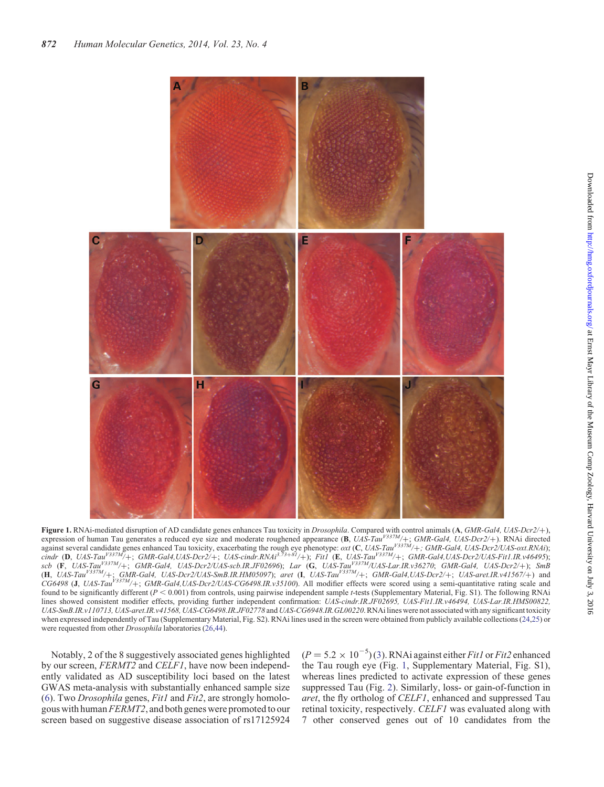<span id="page-2-0"></span>

**Figure 1.** RNAi-mediated disruption of AD candidate genes enhances Tau toxicity in *Drosophila*. Compared with control animals (A, GMR-Gal4, UAS-Dcr2/+), expression of human Tau generates a reduced eye size and moderate expression of human Tau generates a reduced eye size and moderate roughened appearance  $(B, UAS-Tau^{V337M}/+; GMR-Gal4, UAS-Dcr2/+)$ . RNAi directed against several candidate genes enhanced Tau toxicity, exacerbating the rough eye phenotype:  $\alpha x$  (C, UAS-Tau<sup>V337M</sup>/+; GMR-Gal4, UAS-Dcr2/UAS-oxt.RNAi); cindr (D, UAS-Tau<sup>V337M</sup>/+; GMR-Gal4,UAS-Dcr2/+; UAS-cindr.RNAi<sup>3.75+81</sup>/+); Fit1 (E, UAS-Tau<sup>V337M</sup>/+; GMR-Gal4,UAS-Dcr2/UAS-Fit1.IR.v46495);<br>
The UAS-Tau<sup>V337M</sup>/+; GMR-Gal4,UAS-Dcr2/+; UAS-cindr.RNAi<sup>3.75+81</sup>/+); Fit1 ( scb (F, UAS-Tau<sup>V337M</sup>/+; GMR-Gal4, UAS-Dcr2/UAS-scb.IR.JF02696); Lar (G, UAS-Tau<sup>V337M</sup>/UAS-Lar.IR.v36270; GMR-Gal4, UAS-Dcr2/+); SmB  $(H, UAS-Tau^{V337M}/+; GMR-Gal4, UAS-Dcr2/UAS-SmB, IR.HM05097);$  aret  $(I, UAS-Tau^{V337M}/+; GMR-Gal4, UAS-Dcr2/+; UAS-aret,IR. v41567/+)$  and  $CG6498$  (J, UAS-Tau<sup>V337M</sup>/+; GMR-Gal4,UAS-Dcr2/UAS-CG6498.IR.v35100). All modifier effects were scored using a semi-quantitative rating scale and found to be significantly different  $(P < 0.001)$  from controls, using pairwise independent sample t-tests [\(Supplementary Material, Fig. S1](http://hmg.oxfordjournals.org/lookup/suppl/doi:10.1093/hmg/ddt478/-/DC1)). The following RNAi lines showed consistent modifier effects, providing further independent confirmation: UAS-cindr.IR.JF02695, UAS-Fit1.IR.v46494, UAS-Lar.IR.HMS00822, UAS-SmB.IR.v110713, UAS-aret.IR.v41568, UAS-CG6498.IR.JF02778 and UAS-CG6948.IR.GL00220. RNAi lines were not associated with any significant toxicity when expressed independently of Tau [\(Supplementary Material, Fig. S2\)](http://hmg.oxfordjournals.org/lookup/suppl/doi:10.1093/hmg/ddt478/-/DC1). RNAi lines used in the screen were obtained from publicly available collections [\(24,25](#page-7-0)) or were requested from other Drosophila laboratories ([26,44\)](#page-7-0).

Notably, 2 of the 8 suggestively associated genes highlighted by our screen, FERMT2 and CELF1, have now been independently validated as AD susceptibility loci based on the latest GWAS meta-analysis with substantially enhanced sample size [\(6](#page-6-0)). Two *Drosophila* genes,  $Fit1$  and  $Fit2$ , are strongly homologous with human FERMT2, and both genes were promoted to our screen based on suggestive disease association of rs17125924

 $(P = 5.2 \times 10^{-5})$  ([3\)](#page-6-0). RNAi against either *Fit1* or *Fit2* enhanced the Tau rough eye (Fig. 1, [Supplementary Material, Fig. S1](http://hmg.oxfordjournals.org/lookup/suppl/doi:10.1093/hmg/ddt478/-/DC1)), whereas lines predicted to activate expression of these genes suppressed Tau (Fig. [2\)](#page-4-0). Similarly, loss- or gain-of-function in aret, the fly ortholog of CELF1, enhanced and suppressed Tau retinal toxicity, respectively. CELF1 was evaluated along with 7 other conserved genes out of 10 candidates from the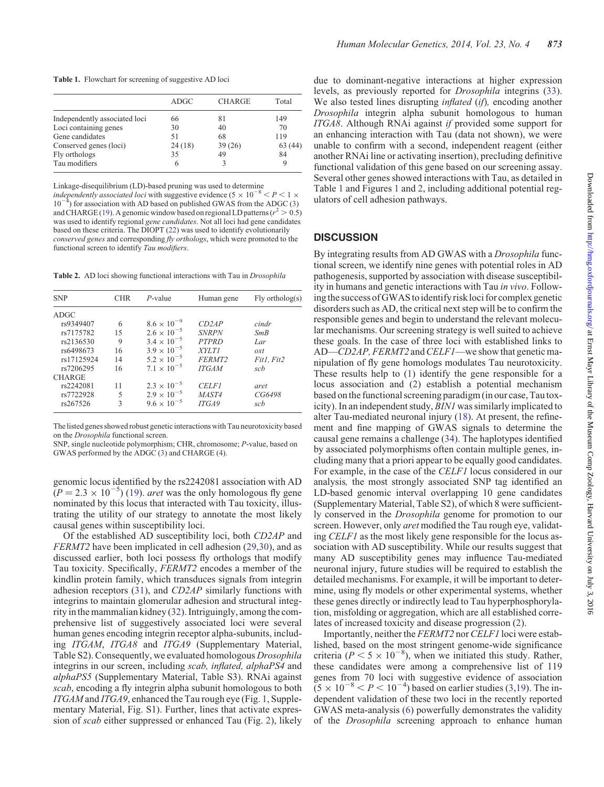<span id="page-3-0"></span>Table 1. Flowchart for screening of suggestive AD loci

|                               | ADGC   | <b>CHARGE</b> | Total  |
|-------------------------------|--------|---------------|--------|
| Independently associated loci | 66     | 81            | 149    |
| Loci containing genes         | 30     | 40            | 70     |
| Gene candidates               | 51     | 68            | 119    |
| Conserved genes (loci)        | 24(18) | 39(26)        | 63(44) |
| Fly orthologs                 | 35     | 49            | 84     |
| Tau modifiers                 |        |               |        |

Linkage-disequilibrium (LD)-based pruning was used to determine independently associated loci with suggestive evidence (5  $\times$  10<sup>-8</sup>  $<$  P  $<$  1  $\times$  $10<sup>7</sup>$  $\sigma$ ) for association with AD based on published GWAS from the ADGC [\(3](#page-6-0)) and CHARGE [\(19](#page-6-0)). A genomic window based on regional LD patterns ( $r^2 > 0.5$ ) was used to identify regional gene candidates. Not all loci had gene candidates based on these criteria. The DIOPT ([22\)](#page-7-0) was used to identify evolutionarily conserved genes and corresponding fly orthologs, which were promoted to the functional screen to identify Tau modifiers.

Table 2. AD loci showing functional interactions with Tau in *Drosophila* 

| <b>SNP</b>    | CHR | $P$ -value           | Human gene         | $Fly$ ortholog $(s)$ |
|---------------|-----|----------------------|--------------------|----------------------|
| ADGC          |     |                      |                    |                      |
| rs9349407     | 6   | $8.6 \times 10^{-9}$ | CD2AP              | cindr                |
| rs7175782     | 15  | $2.6 \times 10^{-5}$ | <b>SNRPN</b>       | SmB                  |
| rs2136530     | 9   | $3.4 \times 10^{-5}$ | <b>PTPRD</b>       | Lar                  |
| rs6498673     | 16  | $3.9 \times 10^{-5}$ | <b>XYLTI</b>       | $\alpha x t$         |
| rs17125924    | 14  | $5.2 \times 10^{-5}$ | FERMT <sub>2</sub> | Fit1, Fit2           |
| rs7206295     | 16  | $7.1 \times 10^{-5}$ | <b>ITGAM</b>       | sch                  |
| <b>CHARGE</b> |     |                      |                    |                      |
| rs2242081     | 11  | $2.3 \times 10^{-5}$ | <b>CELF1</b>       | aret                 |
| rs7722928     | 5   | $2.9 \times 10^{-5}$ | MAST4              | CG6498               |
| rs267526      | 3   | $9.6 \times 10^{-5}$ | ITGA9              | scb                  |
|               |     |                      |                    |                      |

The listed genes showed robust genetic interactions with Tau neurotoxicity based on the Drosophila functional screen.

SNP, single nucleotide polymorphism; CHR, chromosome; P-value, based on GWAS performed by the ADGC ([3\)](#page-6-0) and CHARGE [\(4\)](#page-6-0).

genomic locus identified by the rs2242081 association with AD  $(P = 2.3 \times 10^{-5})$  ([19\)](#page-6-0). *aret* was the only homologous fly gene nominated by this locus that interacted with Tau toxicity, illustrating the utility of our strategy to annotate the most likely causal genes within susceptibility loci.

Of the established AD susceptibility loci, both CD2AP and FERMT2 have been implicated in cell adhesion [\(29,30\)](#page-7-0), and as discussed earlier, both loci possess fly orthologs that modify Tau toxicity. Specifically, FERMT2 encodes a member of the kindlin protein family, which transduces signals from integrin adhesion receptors ([31\)](#page-7-0), and CD2AP similarly functions with integrins to maintain glomerular adhesion and structural integrity in the mammalian kidney ([32\)](#page-7-0). Intriguingly, among the comprehensive list of suggestively associated loci were several human genes encoding integrin receptor alpha-subunits, including ITGAM, ITGA8 and ITGA9 ([Supplementary Material,](http://hmg.oxfordjournals.org/lookup/suppl/doi:10.1093/hmg/ddt478/-/DC1) [Table S2](http://hmg.oxfordjournals.org/lookup/suppl/doi:10.1093/hmg/ddt478/-/DC1)). Consequently, we evaluated homologous Drosophila integrins in our screen, including scab, inflated, alphaPS4 and alphaPS5 ([Supplementary Material, Table S3\)](http://hmg.oxfordjournals.org/lookup/suppl/doi:10.1093/hmg/ddt478/-/DC1). RNAi against scab, encoding a fly integrin alpha subunit homologous to both ITGAM and ITGA9, enhanced the Tau rough eye (Fig. [1,](#page-2-0) [Supple](http://hmg.oxfordjournals.org/lookup/suppl/doi:10.1093/hmg/ddt478/-/DC1)[mentary Material, Fig. S1\)](http://hmg.oxfordjournals.org/lookup/suppl/doi:10.1093/hmg/ddt478/-/DC1). Further, lines that activate expression of scab either suppressed or enhanced Tau (Fig. [2\)](#page-4-0), likely

Human Molecular Genetics, 2014, Vol. 23, No. 4 873

due to dominant-negative interactions at higher expression levels, as previously reported for Drosophila integrins [\(33](#page-7-0)). We also tested lines disrupting *inflated* (*if*), encoding another Drosophila integrin alpha subunit homologous to human ITGA8. Although RNAi against if provided some support for an enhancing interaction with Tau (data not shown), we were unable to confirm with a second, independent reagent (either another RNAi line or activating insertion), precluding definitive functional validation of this gene based on our screening assay. Several other genes showed interactions with Tau, as detailed in Table 1 and Figures [1](#page-2-0) and [2,](#page-4-0) including additional potential regulators of cell adhesion pathways.

#### **DISCUSSION**

By integrating results from AD GWAS with a Drosophila functional screen, we identify nine genes with potential roles in AD pathogenesis, supported by association with disease susceptibility in humans and genetic interactions with Tau in vivo. Following the success of GWAS to identify risk loci for complex genetic disorders such as AD, the critical next step will be to confirm the responsible genes and begin to understand the relevant molecular mechanisms. Our screening strategy is well suited to achieve these goals. In the case of three loci with established links to AD—CD2AP, FERMT2 and CELF1—we show that genetic manipulation of fly gene homologs modulates Tau neurotoxicity. These results help to ([1\)](#page-6-0) identify the gene responsible for a locus association and ([2](#page-6-0)) establish a potential mechanism based on the functional screening paradigm (in our case, Tau toxicity). In an independent study, BIN1 was similarly implicated to alter Tau-mediated neuronal injury [\(18](#page-6-0)). At present, the refinement and fine mapping of GWAS signals to determine the causal gene remains a challenge ([34\)](#page-7-0). The haplotypes identified by associated polymorphisms often contain multiple genes, including many that a priori appear to be equally good candidates. For example, in the case of the CELF1 locus considered in our analysis, the most strongly associated SNP tag identified an LD-based genomic interval overlapping 10 gene candidates [\(Supplementary Material, Table S2](http://hmg.oxfordjournals.org/lookup/suppl/doi:10.1093/hmg/ddt478/-/DC1)), of which 8 were sufficiently conserved in the Drosophila genome for promotion to our screen. However, only aret modified the Tau rough eye, validating CELF1 as the most likely gene responsible for the locus association with AD susceptibility. While our results suggest that many AD susceptibility genes may influence Tau-mediated neuronal injury, future studies will be required to establish the detailed mechanisms. For example, it will be important to determine, using fly models or other experimental systems, whether these genes directly or indirectly lead to Tau hyperphosphorylation, misfolding or aggregation, which are all established correlates of increased toxicity and disease progression [\(2](#page-6-0)).

Importantly, neither the FERMT2 nor CELF1 loci were established, based on the most stringent genome-wide significance criteria ( $P < 5 \times 10^{-8}$ ), when we initiated this study. Rather, these candidates were among a comprehensive list of 119 genes from 70 loci with suggestive evidence of association  $(5 \times 10^{-8} < P < 10^{-4})$  based on earlier studies ([3,19](#page-6-0)). The independent validation of these two loci in the recently reported GWAS meta-analysis [\(6](#page-6-0)) powerfully demonstrates the validity of the Drosophila screening approach to enhance human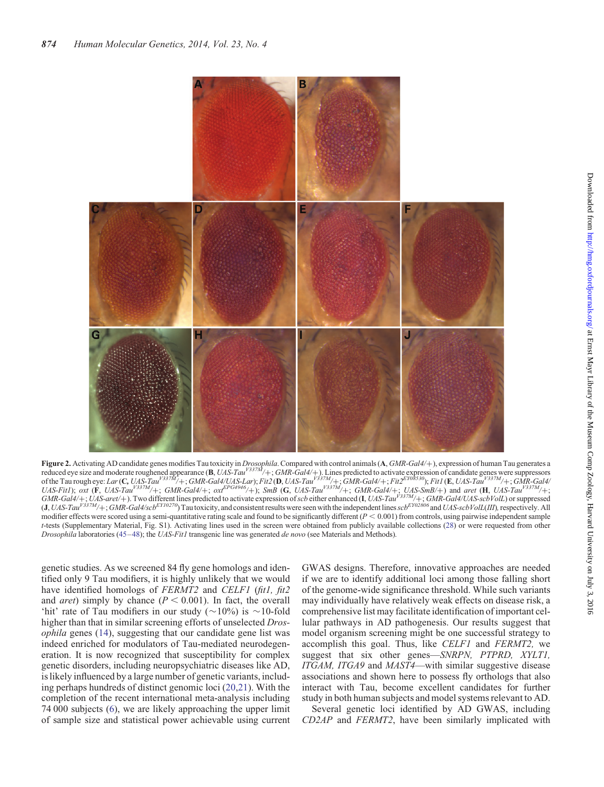<span id="page-4-0"></span>

**Figure 2.** Activating AD candidate genes modifies Tau toxicity in *Drosophila*. Compared with control animals (A, *GMR-Gal4/+)*, expression of human Tau generates a<br>reduced eye size and moderate roughened appearance (**B** of the Tau rough eye: Lar(C, UAS-Tau<sup>V337M</sup>/+; GMR-Gal4/UAS-Lar); Fit2 (D, UAS-Tau<sup>V337M</sup>/+; GMR-Gal4/+; Fit2<sup>EY08530</sup>); Fit1 (E, UAS-Tau<sup>V337M</sup>/+; GMR-Gal4/<br>FEGANALLY SERVE TAN TAUGH ENGLISH CONTROLLY AND TAUGH ENGLISH C UAS-Fit1);  $\overline{ox}$  (F, UAS-Tau<sup>V337M</sup>/+; GMR-Gal4/+;  $\overline{ox}$ EPG<sup>4946</sup>/+); SmB (G, UAS-Tau<sup>V337M</sup>/+; GMR-Gal4/+; UAS-SmB/+) and aret (H, UAS-Tau<sup>V337M</sup>/+;  $GMR-Gal4/+; UAS-aret/+)$ . Two different lines predicted to activate expression of scb either enhanced (I, UAS-Tau<sup>V337M</sup>/+;  $GMR-Gal4/UAS-schVolL$ ) or suppressed  $(J, UAS-Tau<sup>V337M</sup> +$ ; GMR-Gal4/scb<sup>EY10270</sup>) Tau toxicity, and consistent results were seen with the independent lines scb<sup>EY02806</sup> and UAS-scbVolL(III), respectively. All modifier effects were scored using a semi-quantitative rating scale and found to be significantly different  $(P < 0.001)$  from controls, using pairwise independent sample t-tests ([Supplementary Material, Fig. S1\)](http://hmg.oxfordjournals.org/lookup/suppl/doi:10.1093/hmg/ddt478/-/DC1). Activating lines used in the screen were obtained from publicly available collections [\(28\)](#page-7-0) or were requested from other Drosophila laboratories ([45](#page-7-0)–[48\)](#page-7-0); the UAS-Fit1 transgenic line was generated de novo (see Materials and Methods).

genetic studies. As we screened 84 fly gene homologs and identified only 9 Tau modifiers, it is highly unlikely that we would have identified homologs of FERMT2 and CELF1 (fit1, fit2 and *aret*) simply by chance ( $P < 0.001$ ). In fact, the overall 'hit' rate of Tau modifiers in our study ( $\sim$ 10%) is  $\sim$ 10-fold higher than that in similar screening efforts of unselected *Dros*ophila genes ([14\)](#page-6-0), suggesting that our candidate gene list was indeed enriched for modulators of Tau-mediated neurodegeneration. It is now recognized that susceptibility for complex genetic disorders, including neuropsychiatric diseases like AD, is likely influenced by a large number of genetic variants, including perhaps hundreds of distinct genomic loci ([20,21](#page-7-0)). With the completion of the recent international meta-analysis including 74 000 subjects ([6\)](#page-6-0), we are likely approaching the upper limit of sample size and statistical power achievable using current GWAS designs. Therefore, innovative approaches are needed if we are to identify additional loci among those falling short of the genome-wide significance threshold. While such variants may individually have relatively weak effects on disease risk, a comprehensive list may facilitate identification of important cellular pathways in AD pathogenesis. Our results suggest that model organism screening might be one successful strategy to accomplish this goal. Thus, like CELF1 and FERMT2, we suggest that six other genes—SNRPN, PTPRD, XYLT1, ITGAM, ITGA9 and MAST4—with similar suggestive disease associations and shown here to possess fly orthologs that also interact with Tau, become excellent candidates for further study in both human subjects and model systems relevant to AD.

Several genetic loci identified by AD GWAS, including CD2AP and FERMT2, have been similarly implicated with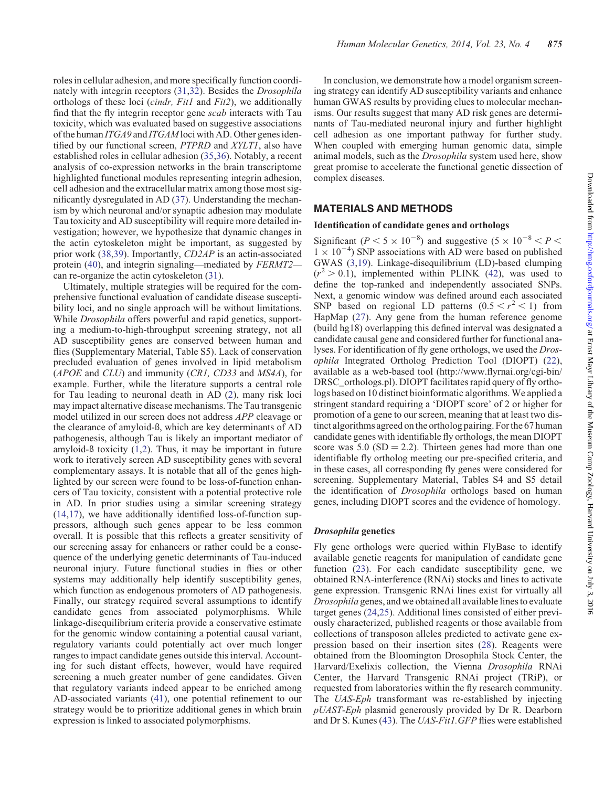nately with integrin receptors ([31,32](#page-7-0)). Besides the Drosophila orthologs of these loci (cindr, Fit1 and Fit2), we additionally find that the fly integrin receptor gene scab interacts with Tau toxicity, which was evaluated based on suggestive associations of the human ITGA9 and ITGAM loci with AD. Other genes identified by our functional screen, PTPRD and XYLT1, also have established roles in cellular adhesion ([35,36](#page-7-0)). Notably, a recent analysis of co-expression networks in the brain transcriptome highlighted functional modules representing integrin adhesion, cell adhesion and the extracellular matrix among those most significantly dysregulated in AD ([37\)](#page-7-0). Understanding the mechanism by which neuronal and/or synaptic adhesion may modulate Tau toxicity and AD susceptibility will require more detailed investigation; however, we hypothesize that dynamic changes in the actin cytoskeleton might be important, as suggested by prior work ([38,39](#page-7-0)). Importantly, CD2AP is an actin-associated protein ([40\)](#page-7-0), and integrin signaling—mediated by FERMT2 can re-organize the actin cytoskeleton [\(31](#page-7-0)).

Ultimately, multiple strategies will be required for the comprehensive functional evaluation of candidate disease susceptibility loci, and no single approach will be without limitations. While *Drosophila* offers powerful and rapid genetics, supporting a medium-to-high-throughput screening strategy, not all AD susceptibility genes are conserved between human and flies [\(Supplementary Material, Table S5\)](http://hmg.oxfordjournals.org/lookup/suppl/doi:10.1093/hmg/ddt478/-/DC1). Lack of conservation precluded evaluation of genes involved in lipid metabolism (APOE and CLU) and immunity (CR1, CD33 and MS4A), for example. Further, while the literature supports a central role for Tau leading to neuronal death in AD [\(2](#page-6-0)), many risk loci may impact alternative disease mechanisms. The Tau transgenic model utilized in our screen does not address APP cleavage or the clearance of amyloid-ß, which are key determinants of AD pathogenesis, although Tau is likely an important mediator of amyloid-ß toxicity ([1,2](#page-6-0)). Thus, it may be important in future work to iteratively screen AD susceptibility genes with several complementary assays. It is notable that all of the genes highlighted by our screen were found to be loss-of-function enhancers of Tau toxicity, consistent with a potential protective role in AD. In prior studies using a similar screening strategy [\(14](#page-6-0),[17\)](#page-6-0), we have additionally identified loss-of-function suppressors, although such genes appear to be less common overall. It is possible that this reflects a greater sensitivity of our screening assay for enhancers or rather could be a consequence of the underlying genetic determinants of Tau-induced neuronal injury. Future functional studies in flies or other systems may additionally help identify susceptibility genes, which function as endogenous promoters of AD pathogenesis. Finally, our strategy required several assumptions to identify candidate genes from associated polymorphisms. While linkage-disequilibrium criteria provide a conservative estimate for the genomic window containing a potential causal variant, regulatory variants could potentially act over much longer ranges to impact candidate genes outside this interval. Accounting for such distant effects, however, would have required screening a much greater number of gene candidates. Given that regulatory variants indeed appear to be enriched among AD-associated variants [\(41](#page-7-0)), one potential refinement to our strategy would be to prioritize additional genes in which brain expression is linked to associated polymorphisms.

In conclusion, we demonstrate how a model organism screening strategy can identify AD susceptibility variants and enhance human GWAS results by providing clues to molecular mechanisms. Our results suggest that many AD risk genes are determinants of Tau-mediated neuronal injury and further highlight cell adhesion as one important pathway for further study. When coupled with emerging human genomic data, simple animal models, such as the Drosophila system used here, show great promise to accelerate the functional genetic dissection of complex diseases.

## MATERIALS AND METHODS

## Identification of candidate genes and orthologs

Significant ( $P < 5 \times 10^{-8}$ ) and suggestive ( $5 \times 10^{-8} < P <$ )  $1 \times 10^{-4}$ ) SNP associations with AD were based on published GWAS ([3,19](#page-6-0)). Linkage-disequilibrium (LD)-based clumping  $(r^2 > 0.1)$ , implemented within PLINK [\(42](#page-7-0)), was used to define the top-ranked and independently associated SNPs. Next, a genomic window was defined around each associated SNP based on regional LD patterns  $(0.5 < r^2 < 1)$  from HapMap ([27\)](#page-7-0). Any gene from the human reference genome (build hg18) overlapping this defined interval was designated a candidate causal gene and considered further for functional analyses. For identification of fly gene orthologs, we used the Drosophila Integrated Ortholog Prediction Tool (DIOPT) [\(22](#page-7-0)), available as a web-based tool (http://www.flyrnai.org/cgi-bin/ DRSC\_orthologs.pl). DIOPT facilitates rapid query of fly orthologs based on 10 distinct bioinformatic algorithms. We applied a stringent standard requiring a 'DIOPT score' of 2 or higher for promotion of a gene to our screen, meaning that at least two distinct algorithms agreed on the ortholog pairing. For the 67 human candidate genes with identifiable fly orthologs, the mean DIOPT score was  $5.0$  (SD = 2.2). Thirteen genes had more than one identifiable fly ortholog meeting our pre-specified criteria, and in these cases, all corresponding fly genes were considered for screening. [Supplementary Material, Tables S4 and S5](http://hmg.oxfordjournals.org/lookup/suppl/doi:10.1093/hmg/ddt478/-/DC1) detail the identification of Drosophila orthologs based on human genes, including DIOPT scores and the evidence of homology.

## Drosophila genetics

Fly gene orthologs were queried within FlyBase to identify available genetic reagents for manipulation of candidate gene function ([23\)](#page-7-0). For each candidate susceptibility gene, we obtained RNA-interference (RNAi) stocks and lines to activate gene expression. Transgenic RNAi lines exist for virtually all Drosophila genes, and we obtained all available lines to evaluate target genes [\(24](#page-7-0),[25\)](#page-7-0). Additional lines consisted of either previously characterized, published reagents or those available from collections of transposon alleles predicted to activate gene expression based on their insertion sites [\(28](#page-7-0)). Reagents were obtained from the Bloomington Drosophila Stock Center, the Harvard/Exelixis collection, the Vienna Drosophila RNAi Center, the Harvard Transgenic RNAi project (TRiP), or requested from laboratories within the fly research community. The UAS-Eph transformant was re-established by injecting pUAST-Eph plasmid generously provided by Dr R. Dearborn and Dr S. Kunes ([43\)](#page-7-0). The UAS-Fit1.GFP flies were established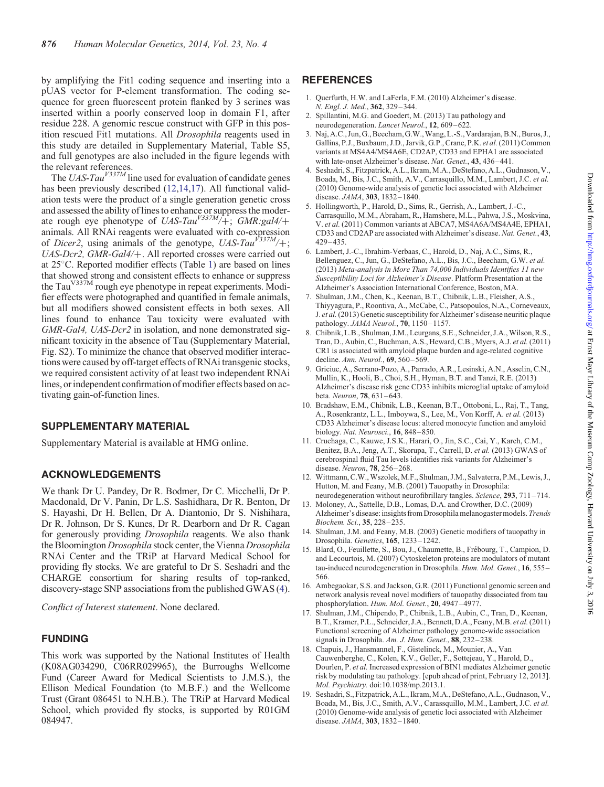<span id="page-6-0"></span>by amplifying the Fit1 coding sequence and inserting into a pUAS vector for P-element transformation. The coding sequence for green fluorescent protein flanked by 3 serines was inserted within a poorly conserved loop in domain F1, after residue 228. A genomic rescue construct with GFP in this position rescued Fit1 mutations. All Drosophila reagents used in this study are detailed in [Supplementary Material, Table S5](http://hmg.oxfordjournals.org/lookup/suppl/doi:10.1093/hmg/ddt478/-/DC1), and full genotypes are also included in the figure legends with the relevant references.

The UAS-Tau<sup>V337M</sup> line used for evaluation of candidate genes has been previously described (12,14,17). All functional validation tests were the product of a single generation genetic cross and assessed the ability of lines to enhance or suppress the moderate rough eye phenotype of UAS-Tau<sup>V337M</sup>/+; GMR:gal4/+ animals. All RNAi reagents were evaluated with co-expression of Dicer2, using animals of the genotype,  $UAS-Tau^{V337M}/+$ ; UAS-Dcr2, GMR-Gal4/+. All reported crosses were carried out at  $25^{\circ}$ C. Reported modifier effects (Table [1\)](#page-3-0) are based on lines that showed strong and consistent effects to enhance or suppress the Tau<sup>V337M</sup> rough eye phenotype in repeat experiments. Modifier effects were photographed and quantified in female animals, but all modifiers showed consistent effects in both sexes. All lines found to enhance Tau toxicity were evaluated with GMR-Gal4, UAS-Dcr2 in isolation, and none demonstrated significant toxicity in the absence of Tau [\(Supplementary Material,](http://hmg.oxfordjournals.org/lookup/suppl/doi:10.1093/hmg/ddt478/-/DC1) [Fig. S2](http://hmg.oxfordjournals.org/lookup/suppl/doi:10.1093/hmg/ddt478/-/DC1)). To minimize the chance that observed modifier interactions were caused by off-target effects of RNAi transgenic stocks, we required consistent activity of at least two independent RNAi lines, or independent confirmation of modifier effects based on activating gain-of-function lines.

#### SUPPLEMENTARY MATERIAL

[Supplementary Material is available at HMG online.](http://hmg.oxfordjournals.org/lookup/suppl/doi:10.1093/hmg/ddt478/-/DC1)

### ACKNOWLEDGEMENTS

We thank Dr U. Pandey, Dr R. Bodmer, Dr C. Micchelli, Dr P. Macdonald, Dr V. Panin, Dr L.S. Sashidhara, Dr R. Benton, Dr S. Hayashi, Dr H. Bellen, Dr A. Diantonio, Dr S. Nishihara, Dr R. Johnson, Dr S. Kunes, Dr R. Dearborn and Dr R. Cagan for generously providing Drosophila reagents. We also thank the Bloomington Drosophila stock center, the Vienna Drosophila RNAi Center and the TRiP at Harvard Medical School for providing fly stocks. We are grateful to Dr S. Seshadri and the CHARGE consortium for sharing results of top-ranked, discovery-stage SNP associations from the published GWAS (4).

Conflict of Interest statement. None declared.

#### FUNDING

This work was supported by the National Institutes of Health (K08AG034290, C06RR029965), the Burroughs Wellcome Fund (Career Award for Medical Scientists to J.M.S.), the Ellison Medical Foundation (to M.B.F.) and the Wellcome Trust (Grant 086451 to N.H.B.). The TRiP at Harvard Medical School, which provided fly stocks, is supported by R01GM 084947.

### **REFERENCES**

- 1. Querfurth, H.W. and LaFerla, F.M. (2010) Alzheimer's disease. N. Engl. J. Med., 362, 329–344.
- 2. Spillantini, M.G. and Goedert, M. (2013) Tau pathology and neurodegeneration. Lancet Neurol., 12, 609–622.
- 3. Naj, A.C., Jun, G., Beecham, G.W., Wang, L.-S., Vardarajan, B.N., Buros, J., Gallins, P.J., Buxbaum, J.D., Jarvik, G.P., Crane, P.K. et al.(2011) Common variants at MS4A4/MS4A6E, CD2AP, CD33 and EPHA1 are associated with late-onset Alzheimer's disease. Nat. Genet., 43, 436-441.
- 4. Seshadri, S., Fitzpatrick, A.L., Ikram, M.A., DeStefano, A.L., Gudnason, V., Boada, M., Bis, J.C., Smith, A.V., Carrasquillo, M.M., Lambert, J.C. et al. (2010) Genome-wide analysis of genetic loci associated with Alzheimer disease. JAMA, 303, 1832–1840.
- 5. Hollingworth, P., Harold, D., Sims, R., Gerrish, A., Lambert, J.-C., Carrasquillo, M.M., Abraham, R., Hamshere, M.L., Pahwa, J.S., Moskvina, V. et al. (2011) Common variants at ABCA7, MS4A6A/MS4A4E, EPHA1, CD33 and CD2AP are associated with Alzheimer's disease. Nat. Genet., 43, 429–435.
- 6. Lambert, J.-C., Ibrahim-Verbaas, C., Harold, D., Naj, A.C., Sims, R., Bellenguez, C., Jun, G., DeStefano, A.L., Bis, J.C., Beecham, G.W. et al. (2013) Meta-analysis in More Than 74,000 Individuals Identifies 11 new Susceptibility Loci for Alzheimer's Disease. Platform Presentation at the Alzheimer's Association International Conference, Boston, MA.
- 7. Shulman, J.M., Chen, K., Keenan, B.T., Chibnik, L.B., Fleisher, A.S., Thiyyagura, P., Roontiva, A., McCabe, C., Patsopoulos, N.A., Corneveaux, J. et al.(2013) Genetic susceptibility for Alzheimer's disease neuritic plaque pathology. JAMA Neurol., 70, 1150–1157.
- 8. Chibnik, L.B., Shulman, J.M., Leurgans, S.E., Schneider, J.A., Wilson, R.S., Tran, D., Aubin, C., Buchman, A.S., Heward, C.B., Myers, A.J. et al. (2011) CR1 is associated with amyloid plaque burden and age-related cognitive decline. Ann. Neurol., 69, 560–569.
- 9. Griciuc, A., Serrano-Pozo, A., Parrado, A.R., Lesinski, A.N., Asselin, C.N., Mullin, K., Hooli, B., Choi, S.H., Hyman, B.T. and Tanzi, R.E. (2013) Alzheimer's disease risk gene CD33 inhibits microglial uptake of amyloid beta. Neuron, 78, 631–643.
- 10. Bradshaw, E.M., Chibnik, L.B., Keenan, B.T., Ottoboni, L., Raj, T., Tang, A., Rosenkrantz, L.L., Imboywa, S., Lee, M., Von Korff, A. et al. (2013) CD33 Alzheimer's disease locus: altered monocyte function and amyloid biology. Nat. Neurosci., 16, 848–850.
- 11. Cruchaga, C., Kauwe, J.S.K., Harari, O., Jin, S.C., Cai, Y., Karch, C.M., Benitez, B.A., Jeng, A.T., Skorupa, T., Carrell, D. et al. (2013) GWAS of cerebrospinal fluid Tau levels identifies risk variants for Alzheimer's disease. Neuron, 78, 256–268.
- 12. Wittmann, C.W., Wszolek, M.F., Shulman, J.M., Salvaterra, P.M., Lewis, J., Hutton, M. and Feany, M.B. (2001) Tauopathy in Drosophila: neurodegeneration without neurofibrillary tangles. Science, 293, 711–714.
- 13. Moloney, A., Sattelle, D.B., Lomas, D.A. and Crowther, D.C. (2009) Alzheimer's disease: insights from Drosophila melanogaster models. Trends Biochem. Sci., 35, 228–235.
- 14. Shulman, J.M. and Feany, M.B. (2003) Genetic modifiers of tauopathy in Drosophila. Genetics, 165, 1233–1242.
- 15. Blard, O., Feuillette, S., Bou, J., Chaumette, B., Frébourg, T., Campion, D. and Lecourtois, M. (2007) Cytoskeleton proteins are modulators of mutant tau-induced neurodegeneration in Drosophila. Hum. Mol. Genet., 16, 555– 566.
- 16. Ambegaokar, S.S. and Jackson, G.R. (2011) Functional genomic screen and network analysis reveal novel modifiers of tauopathy dissociated from tau phosphorylation. Hum. Mol. Genet., 20, 4947-4977.
- 17. Shulman, J.M., Chipendo, P., Chibnik, L.B., Aubin, C., Tran, D., Keenan, B.T., Kramer, P.L., Schneider, J.A., Bennett, D.A., Feany, M.B. et al.(2011) Functional screening of Alzheimer pathology genome-wide association signals in Drosophila. Am. J. Hum. Genet., 88, 232-238.
- 18. Chapuis, J., Hansmannel, F., Gistelinck, M., Mounier, A., Van Cauwenberghe, C., Kolen, K.V., Geller, F., Sottejeau, Y., Harold, D., Dourlen, P. et al. Increased expression of BIN1 mediates Alzheimer genetic risk by modulating tau pathology. [epub ahead of print, February 12, 2013]. Mol. Psychiatry. doi:10.1038/mp.2013.1.
- 19. Seshadri, S., Fitzpatrick, A.L., Ikram, M.A., DeStefano, A.L., Gudnason, V., Boada, M., Bis, J.C., Smith, A.V., Carassquillo, M.M., Lambert, J.C. et al. (2010) Genome-wide analysis of genetic loci associated with Alzheimer disease. JAMA, 303, 1832–1840.